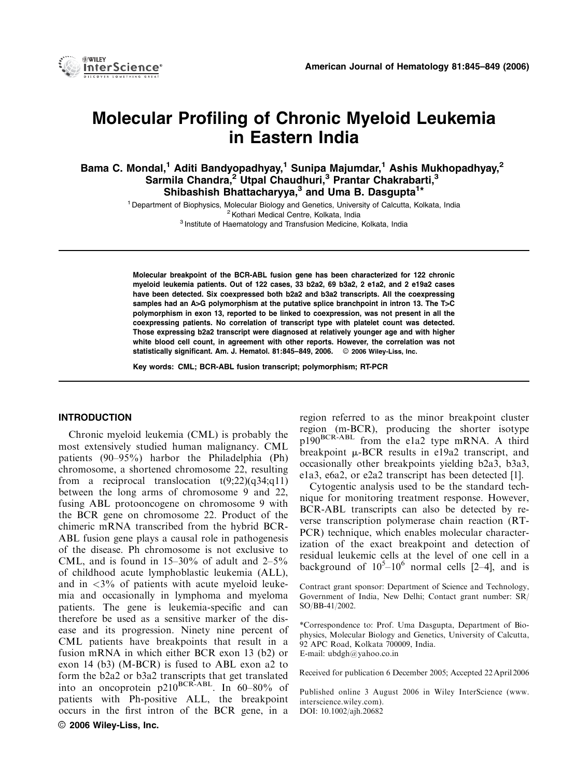

# Molecular Profiling of Chronic Myeloid Leukemia in Eastern India

Bama C. Mondal,<sup>1</sup> Aditi Bandyopadhyay,<sup>1</sup> Sunipa Majumdar,<sup>1</sup> Ashis Mukhopadhyay,<sup>2</sup> Sarmila Chandra,<sup>2</sup> Utpal Chaudhuri,<sup>3</sup> Prantar Chakrabarti,<sup>3</sup> Shibashish Bhattacharyya,<sup>3</sup> and Uma B. Dasgupta<sup>1\*</sup>

> <sup>1</sup> Department of Biophysics, Molecular Biology and Genetics, University of Calcutta, Kolkata, India <sup>2</sup> Kothari Medical Centre, Kolkata, India <sup>3</sup> Institute of Haematology and Transfusion Medicine, Kolkata, India

Molecular breakpoint of the BCR-ABL fusion gene has been characterized for 122 chronic myeloid leukemia patients. Out of 122 cases, 33 b2a2, 69 b3a2, 2 e1a2, and 2 e19a2 cases have been detected. Six coexpressed both b2a2 and b3a2 transcripts. All the coexpressing samples had an A>G polymorphism at the putative splice branchpoint in intron 13. The T>C polymorphism in exon 13, reported to be linked to coexpression, was not present in all the coexpressing patients. No correlation of transcript type with platelet count was detected. Those expressing b2a2 transcript were diagnosed at relatively younger age and with higher white blood cell count, in agreement with other reports. However, the correlation was not statistically significant. Am. J. Hematol. 81:845-849, 2006.  $\circ$  2006 Wiley-Liss, Inc.

Key words: CML; BCR-ABL fusion transcript; polymorphism; RT-PCR

## INTRODUCTION

Chronic myeloid leukemia (CML) is probably the most extensively studied human malignancy. CML patients (90–95%) harbor the Philadelphia (Ph) chromosome, a shortened chromosome 22, resulting from a reciprocal translocation  $t(9;22)(q34;q11)$ between the long arms of chromosome 9 and 22, fusing ABL protooncogene on chromosome 9 with the BCR gene on chromosome 22. Product of the chimeric mRNA transcribed from the hybrid BCR-ABL fusion gene plays a causal role in pathogenesis of the disease. Ph chromosome is not exclusive to CML, and is found in  $15-30\%$  of adult and  $2-5\%$ of childhood acute lymphoblastic leukemia (ALL), and in  $\langle 3\%$  of patients with acute myeloid leukemia and occasionally in lymphoma and myeloma patients. The gene is leukemia-specific and can therefore be used as a sensitive marker of the disease and its progression. Ninety nine percent of CML patients have breakpoints that result in a fusion mRNA in which either BCR exon 13 (b2) or exon 14 (b3) (M-BCR) is fused to ABL exon a2 to form the b2a2 or b3a2 transcripts that get translated into an oncoprotein  $p210^{BCR-ABL}$ . In 60–80% of patients with Ph-positive ALL, the breakpoint occurs in the first intron of the BCR gene, in a  $\odot$  2006 Wiley-Liss, Inc.

region referred to as the minor breakpoint cluster region (m-BCR), producing the shorter isotype p190<sup>BCR-ABL</sup> from the e1a2 type mRNA. A third breakpoint  $\mu$ -BCR results in e19a2 transcript, and occasionally other breakpoints yielding b2a3, b3a3, e1a3, e6a2, or e2a2 transcript has been detected [1].

Cytogentic analysis used to be the standard technique for monitoring treatment response. However, BCR-ABL transcripts can also be detected by reverse transcription polymerase chain reaction (RT-PCR) technique, which enables molecular characterization of the exact breakpoint and detection of residual leukemic cells at the level of one cell in a background of  $10^5 - 10^6$  normal cells [2–4], and is

Contract grant sponsor: Department of Science and Technology, Government of India, New Delhi; Contact grant number: SR/ SO/BB-41/2002.

\*Correspondence to: Prof. Uma Dasgupta, Department of Biophysics, Molecular Biology and Genetics, University of Calcutta, 92 APC Road, Kolkata 700009, India. E-mail: ubdgh@yahoo.co.in

Received for publication 6 December 2005; Accepted 22April 2006

Published online 3 August 2006 in Wiley InterScience (www. interscience.wiley.com). DOI: 10.1002/ajh.20682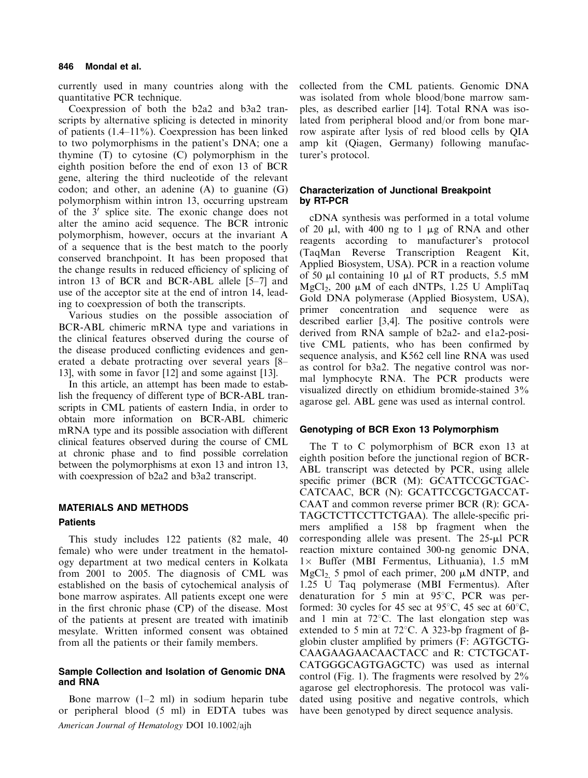#### 846 Mondal et al.

currently used in many countries along with the quantitative PCR technique.

Coexpression of both the b2a2 and b3a2 transcripts by alternative splicing is detected in minority of patients (1.4–11%). Coexpression has been linked to two polymorphisms in the patient's DNA; one a thymine (T) to cytosine (C) polymorphism in the eighth position before the end of exon 13 of BCR gene, altering the third nucleotide of the relevant codon; and other, an adenine  $(A)$  to guanine  $(G)$ polymorphism within intron 13, occurring upstream of the  $3'$  splice site. The exonic change does not alter the amino acid sequence. The BCR intronic polymorphism, however, occurs at the invariant A of a sequence that is the best match to the poorly conserved branchpoint. It has been proposed that the change results in reduced efficiency of splicing of intron 13 of BCR and BCR-ABL allele [5–7] and use of the acceptor site at the end of intron 14, leading to coexpression of both the transcripts.

Various studies on the possible association of BCR-ABL chimeric mRNA type and variations in the clinical features observed during the course of the disease produced conflicting evidences and generated a debate protracting over several years [8– 13], with some in favor [12] and some against [13].

In this article, an attempt has been made to establish the frequency of different type of BCR-ABL transcripts in CML patients of eastern India, in order to obtain more information on BCR-ABL chimeric mRNA type and its possible association with different clinical features observed during the course of CML at chronic phase and to find possible correlation between the polymorphisms at exon 13 and intron 13, with coexpression of b2a2 and b3a2 transcript.

# MATERIALS AND METHODS Patients

This study includes 122 patients (82 male, 40 female) who were under treatment in the hematology department at two medical centers in Kolkata from 2001 to 2005. The diagnosis of CML was established on the basis of cytochemical analysis of bone marrow aspirates. All patients except one were in the first chronic phase (CP) of the disease. Most of the patients at present are treated with imatinib mesylate. Written informed consent was obtained from all the patients or their family members.

# Sample Collection and Isolation of Genomic DNA and RNA

Bone marrow  $(1-2 \text{ ml})$  in sodium heparin tube or peripheral blood (5 ml) in EDTA tubes was American Journal of Hematology DOI 10.1002/ajh

collected from the CML patients. Genomic DNA was isolated from whole blood/bone marrow samples, as described earlier [14]. Total RNA was isolated from peripheral blood and/or from bone marrow aspirate after lysis of red blood cells by QIA amp kit (Qiagen, Germany) following manufacturer's protocol.

# Characterization of Junctional Breakpoint by RT-PCR

cDNA synthesis was performed in a total volume of 20  $\mu$ l, with 400 ng to 1  $\mu$ g of RNA and other reagents according to manufacturer's protocol (TaqMan Reverse Transcription Reagent Kit, Applied Biosystem, USA). PCR in a reaction volume of 50  $\mu$ l containing 10  $\mu$ l of RT products, 5.5 mM  $MgCl<sub>2</sub>$ , 200 µM of each dNTPs, 1.25 U AmpliTaq Gold DNA polymerase (Applied Biosystem, USA), primer concentration and sequence were as described earlier [3,4]. The positive controls were derived from RNA sample of b2a2- and e1a2-positive CML patients, who has been confirmed by sequence analysis, and K562 cell line RNA was used as control for b3a2. The negative control was normal lymphocyte RNA. The PCR products were visualized directly on ethidium bromide-stained 3% agarose gel. ABL gene was used as internal control.

# Genotyping of BCR Exon 13 Polymorphism

The T to C polymorphism of BCR exon 13 at eighth position before the junctional region of BCR-ABL transcript was detected by PCR, using allele specific primer (BCR (M): GCATTCCGCTGAC-CATCAAC, BCR (N): GCATTCCGCTGACCAT-CAAT and common reverse primer BCR (R): GCA-TAGCTCTTCCTTCTGAA). The allele-specific primers amplified a 158 bp fragment when the corresponding allele was present. The  $25-\mu$ l PCR reaction mixture contained 300-ng genomic DNA,  $1 \times$  Buffer (MBI Fermentus, Lithuania), 1.5 mM MgCl<sub>2</sub> 5 pmol of each primer, 200  $\mu$ M dNTP, and 1.25 U Taq polymerase (MBI Fermentus). After denaturation for 5 min at  $95^{\circ}$ C, PCR was performed: 30 cycles for 45 sec at 95 $\degree$ C, 45 sec at 60 $\degree$ C, and 1 min at  $72^{\circ}$ C. The last elongation step was extended to 5 min at 72 $\degree$ C. A 323-bp fragment of  $\beta$ globin cluster amplified by primers (F: AGTGCTG-CAAGAAGAACAACTACC and R: CTCTGCAT-CATGGGCAGTGAGCTC) was used as internal control (Fig. 1). The fragments were resolved by  $2\%$ agarose gel electrophoresis. The protocol was validated using positive and negative controls, which have been genotyped by direct sequence analysis.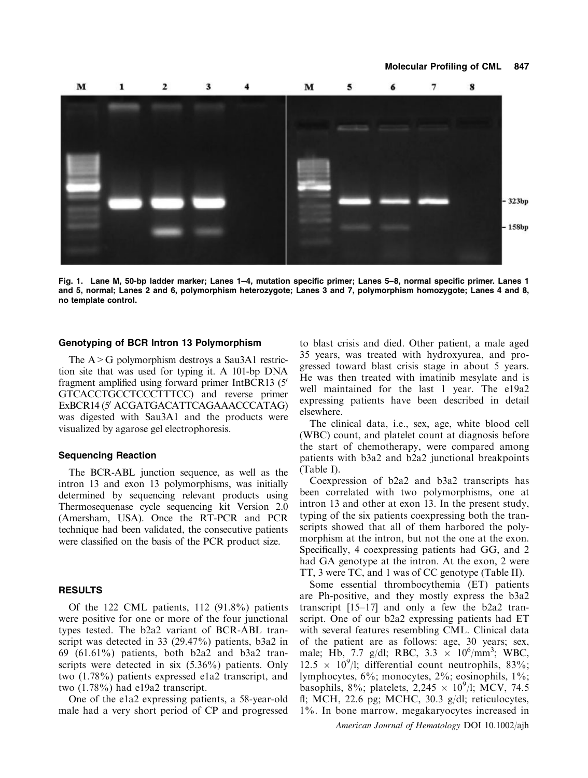

Fig. 1. Lane M, 50-bp ladder marker; Lanes 1–4, mutation specific primer; Lanes 5–8, normal specific primer. Lanes 1 and 5, normal; Lanes 2 and 6, polymorphism heterozygote; Lanes 3 and 7, polymorphism homozygote; Lanes 4 and 8, no template control.

## Genotyping of BCR Intron 13 Polymorphism

The A>G polymorphism destroys a Sau3A1 restriction site that was used for typing it. A 101-bp DNA fragment amplified using forward primer IntBCR13 (5') GTCACCTGCCTCCCTTTCC) and reverse primer ExBCR14 (5' ACGATGACATTCAGAAACCCATAG) was digested with Sau3A1 and the products were visualized by agarose gel electrophoresis.

#### Sequencing Reaction

The BCR-ABL junction sequence, as well as the intron 13 and exon 13 polymorphisms, was initially determined by sequencing relevant products using Thermosequenase cycle sequencing kit Version 2.0 (Amersham, USA). Once the RT-PCR and PCR technique had been validated, the consecutive patients were classified on the basis of the PCR product size.

## RESULTS

Of the 122 CML patients, 112 (91.8%) patients were positive for one or more of the four junctional types tested. The b2a2 variant of BCR-ABL transcript was detected in 33 (29.47%) patients, b3a2 in 69 (61.61%) patients, both b2a2 and b3a2 transcripts were detected in six (5.36%) patients. Only two (1.78%) patients expressed e1a2 transcript, and two (1.78%) had e19a2 transcript.

One of the e1a2 expressing patients, a 58-year-old male had a very short period of CP and progressed

to blast crisis and died. Other patient, a male aged 35 years, was treated with hydroxyurea, and progressed toward blast crisis stage in about 5 years. He was then treated with imatinib mesylate and is well maintained for the last 1 year. The e19a2 expressing patients have been described in detail elsewhere.

The clinical data, i.e., sex, age, white blood cell (WBC) count, and platelet count at diagnosis before the start of chemotherapy, were compared among patients with b3a2 and b2a2 junctional breakpoints (Table I).

Coexpression of b2a2 and b3a2 transcripts has been correlated with two polymorphisms, one at intron 13 and other at exon 13. In the present study, typing of the six patients coexpressing both the transcripts showed that all of them harbored the polymorphism at the intron, but not the one at the exon. Specifically, 4 coexpressing patients had GG, and 2 had GA genotype at the intron. At the exon, 2 were TT, 3 were TC, and 1 was of CC genotype (Table II).

Some essential thrombocythemia (ET) patients are Ph-positive, and they mostly express the b3a2 transcript [15–17] and only a few the b2a2 transcript. One of our b2a2 expressing patients had ET with several features resembling CML. Clinical data of the patient are as follows: age, 30 years; sex, male; Hb, 7.7 g/dl; RBC, 3.3  $\times$  10<sup>6</sup>/mm<sup>3</sup>; WBC,  $12.5 \times 10^{9}$ /l; differential count neutrophils, 83%; lymphocytes, 6%; monocytes, 2%; eosinophils, 1%; basophils, 8%; platelets, 2,245  $\times$  10<sup>9</sup>/l; MCV, 74.5 fl; MCH, 22.6 pg; MCHC, 30.3 g/dl; reticulocytes, 1%. In bone marrow, megakaryocytes increased in

American Journal of Hematology DOI 10.1002/ajh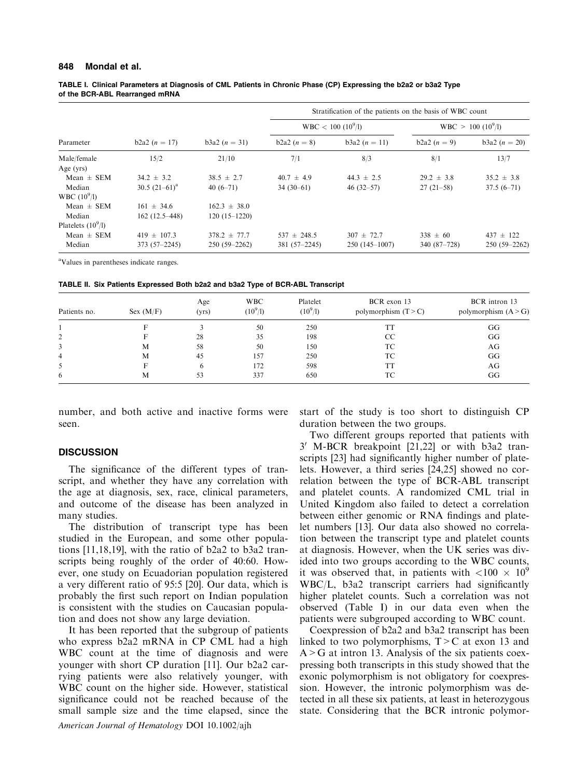#### 848 Mondal et al.

TABLE I. Clinical Parameters at Diagnosis of CML Patients in Chronic Phase (CP) Expressing the b2a2 or b3a2 Type of the BCR-ABL Rearranged mRNA

| Parameter            | $b2a2(n = 17)$   | $b3a2 (n = 31)$  | Stratification of the patients on the basis of WBC count |                      |                                |                 |  |
|----------------------|------------------|------------------|----------------------------------------------------------|----------------------|--------------------------------|-----------------|--|
|                      |                  |                  |                                                          | $WBC < 100 (10^9/l)$ | WBC > 100 (10 <sup>9</sup> /I) |                 |  |
|                      |                  |                  | $b2a2(n = 8)$                                            | b3a2 $(n = 11)$      | $b2a2(n = 9)$                  | $b3a2 (n = 20)$ |  |
| Male/female          | 15/2             | 21/10            | 7/1                                                      | 8/3                  | 8/1                            | 13/7            |  |
| Age $(yrs)$          |                  |                  |                                                          |                      |                                |                 |  |
| Mean $\pm$ SEM       | $34.2 \pm 3.2$   | $38.5 \pm 2.7$   | $40.7 \pm 4.9$                                           | $44.3 \pm 2.5$       | $29.2 \pm 3.8$                 | $35.2 \pm 3.8$  |  |
| Median               | 30.5 $(21-61)^a$ | $40(6-71)$       | $34(30-61)$                                              | $46(32 - 57)$        | $27(21-58)$                    | $37.5(6-71)$    |  |
| WBC $(10^9/l)$       |                  |                  |                                                          |                      |                                |                 |  |
| $Mean \pm SEM$       | $161 \pm 34.6$   | $162.3 \pm 38.0$ |                                                          |                      |                                |                 |  |
| Median               | $162(12.5-448)$  | $120(15-1220)$   |                                                          |                      |                                |                 |  |
| Platelets $(10^9/l)$ |                  |                  |                                                          |                      |                                |                 |  |
| Mean $\pm$ SEM       | $419 \pm 107.3$  | $378.2 \pm 77.7$ | $537 \pm 248.5$                                          | $307 \pm 72.7$       | $338 \pm 60$                   | $437 \pm 122$   |  |
| Median               | $373(57-2245)$   | $250(59 - 2262)$ | 381 (57-2245)                                            | $250(145-1007)$      | $340(87-728)$                  | $250(59-2262)$  |  |

<sup>a</sup>Values in parentheses indicate ranges.

TABLE II. Six Patients Expressed Both b2a2 and b3a2 Type of BCR-ABL Transcript

| Patients no.   | Sex (M/F) | Age<br>(yrs) | <b>WBC</b><br>$(10^9/l)$ | Platelet<br>$(10^9/l)$ | BCR exon 13<br>polymorphism $(T > C)$ | BCR intron 13<br>polymorphism $(A > G)$ |
|----------------|-----------|--------------|--------------------------|------------------------|---------------------------------------|-----------------------------------------|
|                |           |              | 50                       | 250                    | TT                                    | GG                                      |
| 2              |           | 28           | 35                       | 198                    | CC                                    | GG                                      |
| 3              | М         | 58           | 50                       | 150                    | ТC                                    | AG                                      |
| $\overline{4}$ | М         | 45           | 157                      | 250                    | TC                                    | GG                                      |
| 5              |           | h            | 172                      | 598                    | TT                                    | AG                                      |
| 6              | М         | 53           | 337                      | 650                    | TС                                    | GG                                      |

number, and both active and inactive forms were seen.

## **DISCUSSION**

The significance of the different types of transcript, and whether they have any correlation with the age at diagnosis, sex, race, clinical parameters, and outcome of the disease has been analyzed in many studies.

The distribution of transcript type has been studied in the European, and some other populations [11,18,19], with the ratio of b2a2 to b3a2 transcripts being roughly of the order of 40:60. However, one study on Ecuadorian population registered a very different ratio of 95:5 [20]. Our data, which is probably the first such report on Indian population is consistent with the studies on Caucasian population and does not show any large deviation.

It has been reported that the subgroup of patients who express b2a2 mRNA in CP CML had a high WBC count at the time of diagnosis and were younger with short CP duration [11]. Our b2a2 carrying patients were also relatively younger, with WBC count on the higher side. However, statistical significance could not be reached because of the small sample size and the time elapsed, since the American Journal of Hematology DOI 10.1002/ajh

start of the study is too short to distinguish CP duration between the two groups.

Two different groups reported that patients with 3 <sup>0</sup> M-BCR breakpoint [21,22] or with b3a2 transcripts [23] had significantly higher number of platelets. However, a third series [24,25] showed no correlation between the type of BCR-ABL transcript and platelet counts. A randomized CML trial in United Kingdom also failed to detect a correlation between either genomic or RNA findings and platelet numbers [13]. Our data also showed no correlation between the transcript type and platelet counts at diagnosis. However, when the UK series was divided into two groups according to the WBC counts, it was observed that, in patients with  $\langle 100 \times 10^9 \rangle$ WBC/L, b3a2 transcript carriers had significantly higher platelet counts. Such a correlation was not observed (Table I) in our data even when the patients were subgrouped according to WBC count.

Coexpression of b2a2 and b3a2 transcript has been linked to two polymorphisms,  $T>C$  at exon 13 and  $A > G$  at intron 13. Analysis of the six patients coexpressing both transcripts in this study showed that the exonic polymorphism is not obligatory for coexpression. However, the intronic polymorphism was detected in all these six patients, at least in heterozygous state. Considering that the BCR intronic polymor-